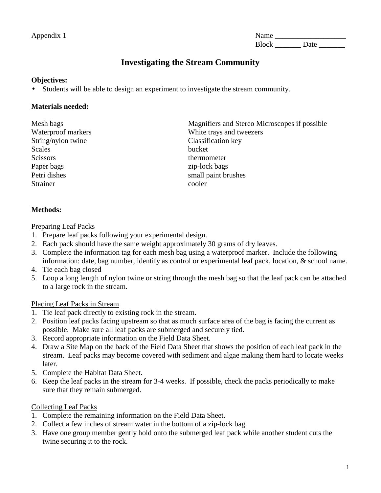Appendix 1 Name \_\_\_\_\_\_\_\_\_\_\_\_\_\_\_\_\_\_\_ Block Date

# **Investigating the Stream Community**

#### **Objectives:**

• Students will be able to design an experiment to investigate the stream community.

## **Materials needed:**

String/nylon twine Classification key Scales bucket Scissors thermometer Paper bags zip-lock bags Petri dishes small paint brushes Strainer cooler

Mesh bags Magnifiers and Stereo Microscopes if possible Waterproof markers White trays and tweezers

## **Methods:**

Preparing Leaf Packs

- 1. Prepare leaf packs following your experimental design.
- 2. Each pack should have the same weight approximately 30 grams of dry leaves.
- 3. Complete the information tag for each mesh bag using a waterproof marker. Include the following information: date, bag number, identify as control or experimental leaf pack, location, & school name.
- 4. Tie each bag closed
- 5. Loop a long length of nylon twine or string through the mesh bag so that the leaf pack can be attached to a large rock in the stream.

## Placing Leaf Packs in Stream

- 1. Tie leaf pack directly to existing rock in the stream.
- 2. Position leaf packs facing upstream so that as much surface area of the bag is facing the current as possible. Make sure all leaf packs are submerged and securely tied.
- 3. Record appropriate information on the Field Data Sheet.
- 4. Draw a Site Map on the back of the Field Data Sheet that shows the position of each leaf pack in the stream. Leaf packs may become covered with sediment and algae making them hard to locate weeks later.
- 5. Complete the Habitat Data Sheet.
- 6. Keep the leaf packs in the stream for 3-4 weeks. If possible, check the packs periodically to make sure that they remain submerged.

## Collecting Leaf Packs

- 1. Complete the remaining information on the Field Data Sheet.
- 2. Collect a few inches of stream water in the bottom of a zip-lock bag.
- 3. Have one group member gently hold onto the submerged leaf pack while another student cuts the twine securing it to the rock.